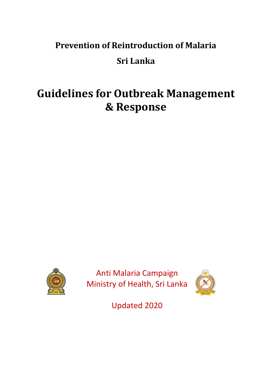## **Prevention of Reintroduction of Malaria Sri Lanka**

# **Guidelines for Outbreak Management & Response**



Anti Malaria Campaign Ministry of Health, Sri Lanka



Updated 2020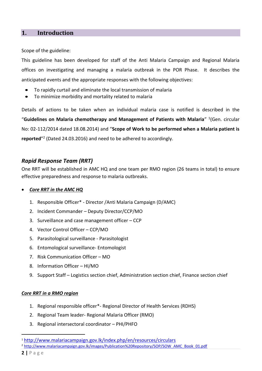#### **1. Introduction**

Scope of the guideline:

This guideline has been developed for staff of the Anti Malaria Campaign and Regional Malaria offices on investigating and managing a malaria outbreak in the POR Phase. It describes the anticipated events and the appropriate responses with the following objectives:

- To rapidly curtail and eliminate the local transmission of malaria
- To minimize morbidity and mortality related to malaria

Details of actions to be taken when an individual malaria case is notified is described in the "**Guidelines on Malaria chemotherapy and Management of Patients with Malaria**" 1 (Gen. circular No: 02-112/2014 dated 18.08.2014) and "**Scope of Work to be performed when a Malaria patient is** reported<sup>"2</sup> (Dated 24.03.2016) and need to be adhered to accordingly.

#### *Rapid Response Team (RRT)*

One RRT will be established in AMC HQ and one team per RMO region (26 teams in total) to ensure effective preparedness and response to malaria outbreaks.

#### • *Core RRT in the AMC HQ*

- 1. Responsible Officer\* Director /Anti Malaria Campaign (D/AMC)
- 2. Incident Commander Deputy Director/CCP/MO
- 3. Surveillance and case management officer CCP
- 4. Vector Control Officer CCP/MO
- 5. Parasitological surveillance Parasitologist
- 6. Entomological surveillance- Entomologist
- 7. Risk Communication Officer MO
- 8. Information Officer HI/MO
- 9. Support Staff Logistics section chief, Administration section chief, Finance section chief

#### *Core RRT in a RMO region*

- 1. Regional responsible officer\*- Regional Director of Health Services (RDHS)
- 2. Regional Team leader- Regional Malaria Officer (RMO)
- 3. Regional intersectoral coordinator PHI/PHFO

<sup>1</sup> <http://www.malariacampaign.gov.lk/index.php/en/resources/circulars>

<sup>2</sup> [http://www.malariacampaign.gov.lk/images/Publication%20Repository/SOP/SOW\\_AMC\\_Book\\_01.pdf](http://www.malariacampaign.gov.lk/images/Publication%20Repository/SOP/SOW_AMC_Book_01.pdf)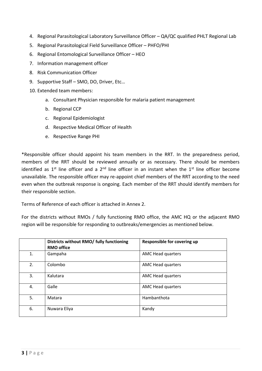- 4. Regional Parasitological Laboratory Surveillance Officer QA/QC qualified PHLT Regional Lab
- 5. Regional Parasitological Field Surveillance Officer PHFO/PHI
- 6. Regional Entomological Surveillance Officer HEO
- 7. Information management officer
- 8. Risk Communication Officer
- 9. Supportive Staff SMO, DO, Driver, Etc...
- 10. Extended team members:
	- a. Consultant Physician responsible for malaria patient management
	- b. Regional CCP
	- c. Regional Epidemiologist
	- d. Respective Medical Officer of Health
	- e. Respective Range PHI

\*Responsible officer should appoint his team members in the RRT. In the preparedness period, members of the RRT should be reviewed annually or as necessary. There should be members identified as 1<sup>st</sup> line officer and a 2<sup>nd</sup> line officer in an instant when the 1<sup>st</sup> line officer become unavailable. The responsible officer may re-appoint chief members of the RRT according to the need even when the outbreak response is ongoing. Each member of the RRT should identify members for their responsible section.

Terms of Reference of each officer is attached in Annex 2.

For the districts without RMOs / fully functioning RMO office, the AMC HQ or the adjacent RMO region will be responsible for responding to outbreaks/emergencies as mentioned below.

|    | Districts without RMO/ fully functioning<br><b>RMO office</b> | Responsible for covering up |
|----|---------------------------------------------------------------|-----------------------------|
| 1. | Gampaha                                                       | AMC Head quarters           |
| 2. | Colombo                                                       | AMC Head quarters           |
| 3. | Kalutara                                                      | <b>AMC Head quarters</b>    |
| 4. | Galle                                                         | AMC Head quarters           |
| 5. | Matara                                                        | Hambanthota                 |
| 6. | Nuwara Eliya                                                  | Kandy                       |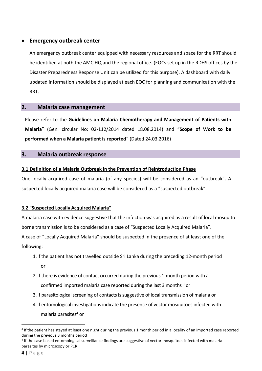#### • **Emergency outbreak center**

An emergency outbreak center equipped with necessary resources and space for the RRT should be identified at both the AMC HQ and the regional office. (EOCs set up in the RDHS offices by the Disaster Preparedness Response Unit can be utilized for this purpose). A dashboard with daily updated information should be displayed at each EOC for planning and communication with the RRT.

#### **2. Malaria case management**

Please refer to the **Guidelines on Malaria Chemotherapy and Management of Patients with Malaria**" (Gen. circular No: 02-112/2014 dated 18.08.2014) and "**Scope of Work to be performed when a Malaria patient is reported**" (Dated 24.03.2016)

#### **3. Malaria outbreak response**

#### **3.1 Definition of a Malaria Outbreak in the Prevention of Reintroduction Phase**

One locally acquired case of malaria (of any species) will be considered as an "outbreak". A suspected locally acquired malaria case will be considered as a "suspected outbreak".

#### **3.2 "Suspected Locally Acquired Malaria"**

A malaria case with evidence suggestive that the infection was acquired as a result of local mosquito borne transmission is to be considered as a case of "Suspected Locally Acquired Malaria".

A case of "Locally Acquired Malaria" should be suspected in the presence of at least one of the following:

- 1.If the patient has not travelled outside Sri Lanka during the preceding 12-month period or
- 2.If there is evidence of contact occurred during the previous 1-month period with a

confirmed imported malaria case reported during the last 3 months  $3$  or

- 3.If parasitological screening of contacts is suggestive of local transmission of malaria or
- 4.If entomological investigations indicate the presence of vector mosquitoes infected with malaria parasites<sup>4</sup> or

 $3$  If the patient has stayed at least one night during the previous 1 month period in a locality of an imported case reported during the previous 3 months period

<sup>&</sup>lt;sup>4</sup> If the case based entomological surveillance findings are suggestive of vector mosquitoes infected with malaria parasites by microscopy or PCR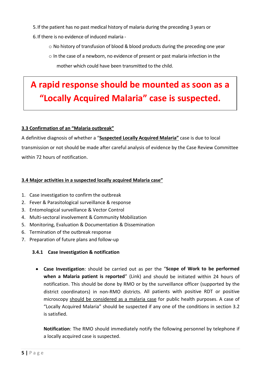- 5.If the patient has no past medical history of malaria during the preceding 3 years or
- 6.If there is no evidence of induced malaria
	- o No history of transfusion of blood & blood products during the preceding one year
	- o In the case of a newborn, no evidence of present or past malaria infection in the mother which could have been transmitted to the child.

## **A rapid response should be mounted as soon as a "Locally Acquired Malaria" case is suspected.**

#### **3.3 Confirmation of an "Malaria outbreak"**

A definitive diagnosis of whether a "**Suspected Locally Acquired Malaria"** case is due to local transmission or not should be made after careful analysis of evidence by the Case Review Committee within 72 hours of notification.

#### **3.4 Major activities in a suspected locally acquired Malaria case"**

- 1. Case investigation to confirm the outbreak
- 2. Fever & Parasitological surveillance & response
- 3. Entomological surveillance & Vector Control
- 4. Multi-sectoral involvement & Community Mobilization
- 5. Monitoring, Evaluation & Documentation & Dissemination
- 6. Termination of the outbreak response
- 7. Preparation of future plans and follow-up

#### **3.4.1 Case Investigation & notification**

• **Case Investigation**: should be carried out as per the "**Scope of Work to be performed when a Malaria patient is reported**" (Link) and should be initiated within 24 hours of notification. This should be done by RMO or by the surveillance officer (supported by the district coordinators) in non-RMO districts. All patients with positive RDT or positive microscopy should be considered as a malaria case for public health purposes. A case of "Locally Acquired Malaria" should be suspected if any one of the conditions in section 3.2 is satisfied.

**Notification**: The RMO should immediately notify the following personnel by telephone if a locally acquired case is suspected.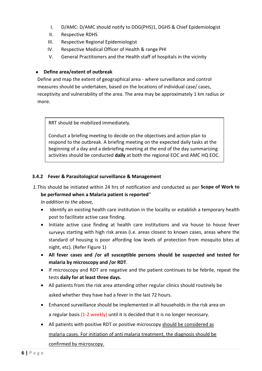- I. D/AMC: D/AMC should notify to DDG(PHS)1, DGHS & Chief Epidemiologist
- II. Respective RDHS
- III. Respective Regional Epidemiologist
- IV. Respective Medical Officer of Health & range PHI
- V. General Practitioners and the Health staff of hospitals in the vicinity

#### • **Define area/extent of outbreak**

Define and map the extent of geographical area - where surveillance and control measures should be undertaken, based on the locations of individual case/ cases, receptivity and vulnerability of the area. The area may be approximately 1 km radius or more.

RRT should be mobilized immediately.

Conduct a briefing meeting to decide on the objectives and action plan to respond to the outbreak. A briefing meeting on the expected daily tasks at the beginning of a day and a debriefing meeting at the end of the day summarizing activities should be conducted **daily** at both the regional EOC and AMC HQ EOC.

#### **3.4.2 Fever & Parasitological surveillance & Management**

*1.*This should be initiated within 24 hrs of notification and conducted as per **Scope of Work to be performed when a Malaria patient is reported**"

*In addition to the above,* 

- Identify an existing health care institution in the locality or establish a temporary health post to facilitate active case finding.
- Initiate active case finding at health care institutions and via house to house fever surveys starting with high risk areas (i.e. areas closest to known cases, areas where the standard of housing is poor affording low levels of protection from mosquito bites at night, etc). (Refer Figure 1)
- **All fever cases and /or all susceptible persons should be suspected and tested for malaria by microscopy and /or RDT**.
- If microscopy and RDT are negative and the patient continues to be febrile, repeat the tests **daily for at least three days.**
- All patients from the risk area attending other regular clinics should routinely be asked whether they have had a fever in the last 72 hours.
- Enhanced surveillance should be implemented in all households in the risk area on a regular basis (1-2 weekly) until it is decided that it is no longer necessary.
- All patients with positive RDT or positive microscopy should be considered as malaria cases. For initiation of anti malaria treatment, the diagnosis should be

confirmed by microscopy.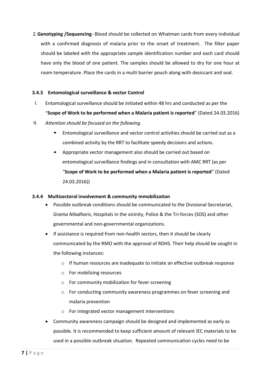2.**Genotyping /Sequencing**- Blood should be collected on Whatman cards from every individual with a confirmed diagnosis of malaria prior to the onset of treatment. The filter paper should be labeled with the appropriate sample identification number and each card should have only the blood of one patient. The samples should be allowed to dry for one hour at room temperature. Place the cards in a multi barrier pouch along with desiccant and seal.

#### **3.4.3 Entomological surveillance & vector Control**

- I. Entomological surveillance should be initiated within 48 hrs and conducted as per the "**Scope of Work to be performed when a Malaria patient is reported**" (Dated 24.03.2016)
- II. *Attention should be focused on the following.*
	- Entomological surveillance and vector control activities should be carried out as a combined activity by the RRT to facilitate speedy decisions and actions.
	- Appropriate vector management also should be carried out based on entomological surveillance findings and in consultation with AMC RRT (as per "**Scope of Work to be performed when a Malaria patient is reported**" (Dated 24.03.2016))

#### **3.4.4 Multisectoral involvement & community mmobilization**

- Possible outbreak conditions should be communicated to the Divisional Secretariat, *Grama Niladharis*, Hospitals in the vicinity, Police & the Tri-forces (SOS) and other governmental and non-governmental organizations.
- If assistance is required from non-health sectors, then it should be clearly communicated by the RMO with the approval of RDHS. Their help should be sought in the following instances:
	- $\circ$  If human resources are inadequate to initiate an effective outbreak response
	- o For mobilizing resources
	- o For community mobilization for fever screening
	- $\circ$  For conducting community awareness programmes on fever screening and malaria prevention
	- o For integrated vector management interventions
- Community awareness campaign should be designed and implemented as early as possible. It is recommended to keep sufficient amount of relevant IEC materials to be used in a possible outbreak situation. Repeated communication cycles need to be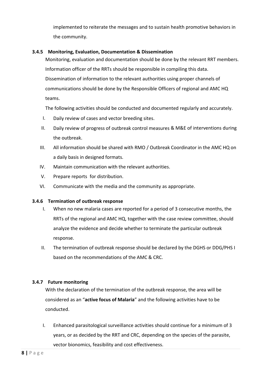implemented to reiterate the messages and to sustain health promotive behaviors in the community.

#### **3.4.5 Monitoring, Evaluation, Documentation & Dissemination**

Monitoring, evaluation and documentation should be done by the relevant RRT members. Information officer of the RRTs should be responsible in compiling this data. Dissemination of information to the relevant authorities using proper channels of communications should be done by the Responsible Officers of regional and AMC HQ teams.

The following activities should be conducted and documented regularly and accurately.

- I. Daily review of cases and vector breeding sites.
- II. Daily review of progress of outbreak control measures & M&E of interventions during the outbreak.
- III. All information should be shared with RMO / Outbreak Coordinator in the AMC HQ on a daily basis in designed formats.
- IV. Maintain communication with the relevant authorities.
- V. Prepare reports for distribution.
- VI. Communicate with the media and the community as appropriate.

#### **3.4.6 Termination of outbreak response**

- I. When no new malaria cases are reported for a period of 3 consecutive months, the RRTs of the regional and AMC HQ, together with the case review committee, should analyze the evidence and decide whether to terminate the particular outbreak response.
- II. The termination of outbreak response should be declared by the DGHS or DDG/PHS I based on the recommendations of the AMC & CRC.

#### **3.4.7 Future monitoring**

With the declaration of the termination of the outbreak response, the area will be considered as an "**active focus of Malaria**" and the following activities have to be conducted.

I. Enhanced parasitological surveillance activities should continue for a minimum of 3 years, or as decided by the RRT and CRC, depending on the species of the parasite, vector bionomics, feasibility and cost effectiveness.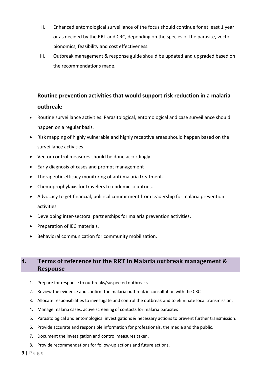- II. Enhanced entomological surveillance of the focus should continue for at least 1 year or as decided by the RRT and CRC, depending on the species of the parasite, vector bionomics, feasibility and cost effectiveness.
- III. Outbreak management & response guide should be updated and upgraded based on the recommendations made.

### **Routine prevention activities that would support risk reduction in a malaria outbreak:**

- Routine surveillance activities: Parasitological, entomological and case surveillance should happen on a regular basis.
- Risk mapping of highly vulnerable and highly receptive areas should happen based on the surveillance activities.
- Vector control measures should be done accordingly.
- Early diagnosis of cases and prompt management
- Therapeutic efficacy monitoring of anti-malaria treatment.
- Chemoprophylaxis for travelers to endemic countries.
- Advocacy to get financial, political commitment from leadership for malaria prevention activities.
- Developing inter-sectoral partnerships for malaria prevention activities.
- Preparation of IEC materials.
- Behavioral communication for community mobilization.

#### **4. Terms of reference for the RRT in Malaria outbreak management & Response**

- 1. Prepare for response to outbreaks/suspected outbreaks.
- 2. Review the evidence and confirm the malaria outbreak in consultation with the CRC.
- 3. Allocate responsibilities to investigate and control the outbreak and to eliminate local transmission.
- 4. Manage malaria cases, active screening of contacts for malaria parasites
- 5. Parasitological and entomological investigations & necessary actions to prevent further transmission.
- 6. Provide accurate and responsible information for professionals, the media and the public.
- 7. Document the investigation and control measures taken.
- 8. Provide recommendations for follow-up actions and future actions.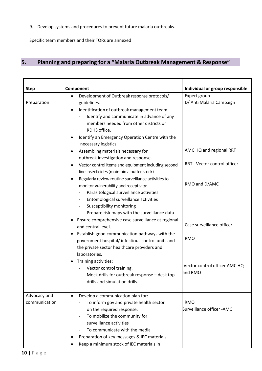9. Develop systems and procedures to prevent future malaria outbreaks.

Specific team members and their TORs are annexed

### **5. Planning and preparing for a "Malaria Outbreak Management & Response"**

| <b>Step</b>                   | Component                                                                                                                                                                                                                                                                                                                                                                                                                                                                                                                                                                                                                                                                                                                                        | Individual or group responsible                                                                                      |
|-------------------------------|--------------------------------------------------------------------------------------------------------------------------------------------------------------------------------------------------------------------------------------------------------------------------------------------------------------------------------------------------------------------------------------------------------------------------------------------------------------------------------------------------------------------------------------------------------------------------------------------------------------------------------------------------------------------------------------------------------------------------------------------------|----------------------------------------------------------------------------------------------------------------------|
| Preparation                   | Development of Outbreak response protocols/<br>$\bullet$<br>guidelines.<br>Identification of outbreak management team.<br>Identify and communicate in advance of any<br>members needed from other districts or<br>RDHS office.<br>Identify an Emergency Operation Centre with the<br>necessary logistics.<br>Assembling materials necessary for<br>outbreak investigation and response.<br>Vector control items and equipment including second<br>٠<br>line insecticides (maintain a buffer stock)<br>Regularly review routine surveillance activities to<br>monitor vulnerability and receptivity:<br>Parasitological surveillance activities<br>Entomological surveillance activities<br>Susceptibility monitoring<br>$\overline{\phantom{a}}$ | Expert group<br>D/ Anti Malaria Campaign<br>AMC HQ and regional RRT<br>RRT - Vector control officer<br>RMO and D/AMC |
|                               | Prepare risk maps with the surveillance data<br>Ensure comprehensive case surveillance at regional<br>and central level.<br>Establish good communication pathways with the<br>government hospital/ infectious control units and<br>the private sector healthcare providers and<br>laboratories.<br>Training activities:<br>Vector control training.<br>Mock drills for outbreak response – desk top<br>drills and simulation drills.                                                                                                                                                                                                                                                                                                             | Case surveillance officer<br><b>RMO</b><br>Vector control officer AMC HQ<br>and RMO                                  |
| Advocacy and<br>communication | Develop a communication plan for:<br>To inform gov and private health sector<br>on the required response.<br>To mobilize the community for<br>surveillance activities<br>To communicate with the media<br>Preparation of key messages & IEC materials.<br>Keep a minimum stock of IEC materials in                                                                                                                                                                                                                                                                                                                                                                                                                                               | <b>RMO</b><br>Surveillance officer -AMC                                                                              |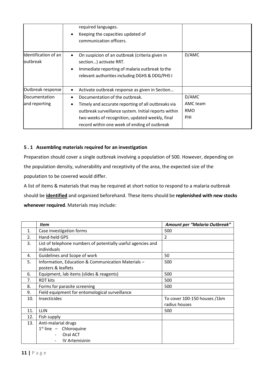|                                           | required languages.<br>Keeping the capacities updated of<br>communication officers.                                                                                                                                                             |                                        |
|-------------------------------------------|-------------------------------------------------------------------------------------------------------------------------------------------------------------------------------------------------------------------------------------------------|----------------------------------------|
| Identification of an<br><b>l</b> outbreak | On suspicion of an outbreak (criteria given in<br>٠<br>section) activate RRT.<br>Immediate reporting of malaria outbreak to the<br>٠<br>relevant authorities including DGHS & DDG/PHS I                                                         | D/AMC                                  |
| Outbreak response                         | Activate outbreak response as given in Section                                                                                                                                                                                                  |                                        |
| Documentation<br>and reporting            | Documentation of the outbreak.<br>Timely and accurate reporting of all outbreaks via<br>outbreak surveillance system. Initial reports within<br>two weeks of recognition, updated weekly, final<br>record within one week of ending of outbreak | D/AMC<br>AMC team<br><b>RMO</b><br>PHI |

#### **5 . 1 Assembling materials required for an investigation**

Preparation should cover a single outbreak involving a population of 500. However, depending on the population density, vulnerability and receptivity of the area, the expected size of the population to be covered would differ.

A list of items & materials that may be required at short notice to respond to a malaria outbreak should be **identified** and organized beforehand. These items should be **replenished with new stocks whenever required**. Materials may include:

|     | <b>Item</b>                                                                 | Amount per "Malaria Outbreak"                 |
|-----|-----------------------------------------------------------------------------|-----------------------------------------------|
| 1.  | Case investigation forms                                                    | 500                                           |
| 2.  | Hand-held GPS                                                               | $\overline{\phantom{a}}$                      |
| 3.  | List of telephone numbers of potentially useful agencies and<br>individuals |                                               |
| 4.  | Guidelines and Scope of work                                                | 50                                            |
| 5.  | Information, Education & Communication Materials -<br>posters & leaflets    | 500                                           |
| 6.  | Equipment, lab items (slides & reagents)                                    | 500                                           |
| 7.  | <b>RDT kits</b>                                                             | 500                                           |
| 8.  | Forms for parasite screening                                                | 500                                           |
| 9.  | Field equipment for entomological surveillance                              |                                               |
| 10. | <b>Insecticides</b>                                                         | To cover 100-150 houses /1km<br>radius houses |
| 11. | LLIN                                                                        | 500                                           |
| 12. | Fish supply                                                                 |                                               |
| 13. | Anti-malarial drugs                                                         |                                               |
|     | $1st$ line - Chloroquine                                                    |                                               |
|     | Oral ACT                                                                    |                                               |
|     | <b>IV Artemisinin</b>                                                       |                                               |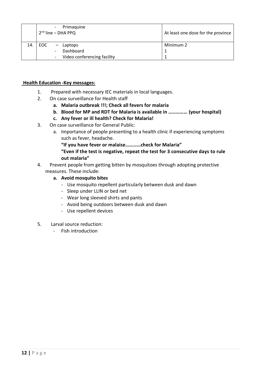|     | Primaguine<br>$2nd$ line – DHA PPQ | At least one dose for the province |
|-----|------------------------------------|------------------------------------|
| 14. | EOC<br>- Laptops                   | Minimum 2                          |
|     | Dashboard                          |                                    |
|     | Video conferencing facility        |                                    |

#### **Health Education -Key messages:**

- 1. Prepared with necessary IEC materials in local languages.
- 2. On case surveillance for Health staff
	- **a. Malaria outbreak !!!; Check all fevers for malaria**
	- **b. Blood for MP and RDT for Malaria is available in …………… (your hospital)**
	- **c. Any fever or ill health? Check for Malaria!**
- 3. On case surveillance for General Public:
	- a. Importance of people presenting to a health clinic if experiencing symptoms such as fever, headache.
		- **"If you have fever or malaise…………check for Malaria"**
		- **"Even if the test is negative, repeat the test for 3 consecutive days to rule out malaria"**
- 4. Prevent people from getting bitten by mosquitoes through adopting protective measures. These include:
	- **a. Avoid mosquito bites** 
		- Use mosquito repellent particularly between dusk and dawn
		- Sleep under LLIN or bed net
		- Wear long sleeved shirts and pants
		- Avoid being outdoors between dusk and dawn
		- Use repellent devices
- 5. Larval source reduction:
	- Fish introduction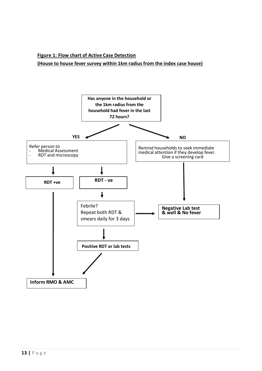#### **Figure 1: Flow chart of Active Case Detection (House to house fever survey within 1km radius from the index case house)**

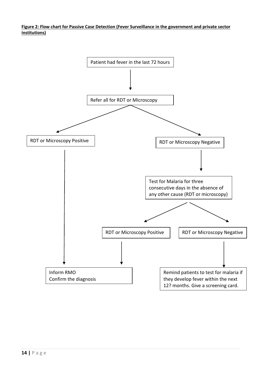**Figure 2: Flow chart for Passive Case Detection (Fever Surveillance in the government and private sector institutions)**